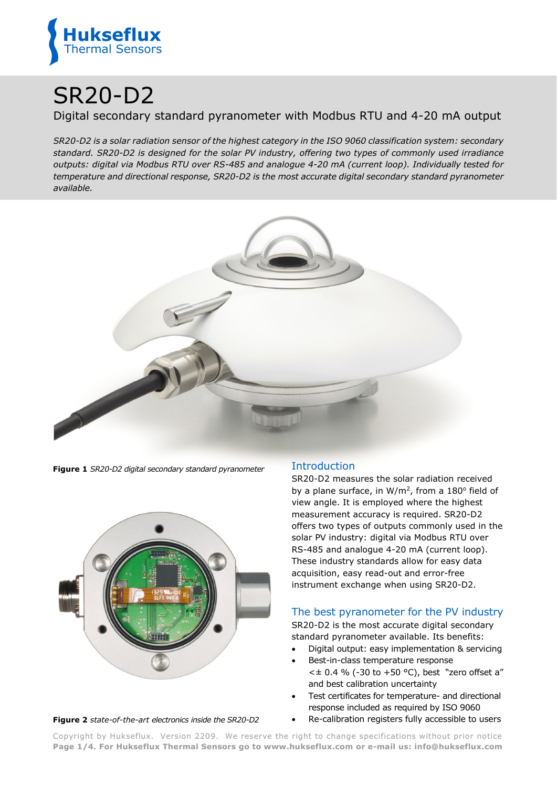

# SR20-D2

## Digital secondary standard pyranometer with Modbus RTU and 4-20 mA output

*SR20-D2 is a solar radiation sensor of the highest category in the ISO 9060 classification system: secondary standard. SR20-D2 is designed for the solar PV industry, offering two types of commonly used irradiance outputs: digital via Modbus RTU over RS-485 and analogue 4-20 mA (current loop). Individually tested for temperature and directional response, SR20-D2 is the most accurate digital secondary standard pyranometer available.*



**Figure 1** *SR20-D2 digital secondary standard pyranometer*



#### **Figure 2** *state-of-the-art electronics inside the SR20-D2*

## Introduction

SR20-D2 measures the solar radiation received by a plane surface, in  $W/m^2$ , from a 180 $\degree$  field of view angle. It is employed where the highest measurement accuracy is required. SR20-D2 offers two types of outputs commonly used in the solar PV industry: digital via Modbus RTU over RS-485 and analogue 4-20 mA (current loop). These industry standards allow for easy data acquisition, easy read-out and error-free instrument exchange when using SR20-D2.

### The best pyranometer for the PV industry

SR20-D2 is the most accurate digital secondary standard pyranometer available. Its benefits:

- Digital output: easy implementation & servicing
- Best-in-class temperature response  $<$  ± 0.4 % (-30 to +50 °C), best "zero offset a" and best calibration uncertainty
- Test certificates for temperature- and directional response included as required by ISO 9060
- Re-calibration registers fully accessible to users

Copyright by Hukseflux. Version 2209. We reserve the right to change specifications without prior notice **Page 1/4. For Hukseflux Thermal Sensors go to [www.hukseflux.com](http://www.hukseflux.com/) or e-mail us: [info@hukseflux.com](mailto:info@hukseflux.com?subject=brochure)**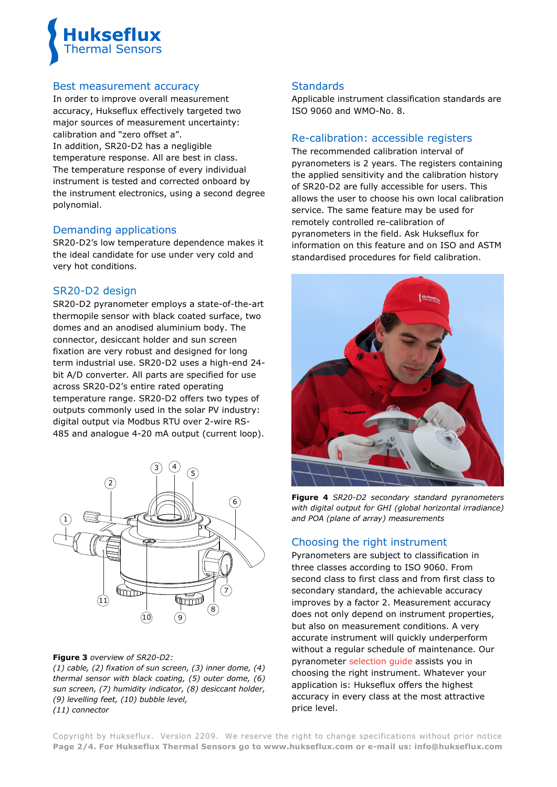

#### Best measurement accuracy

In order to improve overall measurement accuracy, Hukseflux effectively targeted two major sources of measurement uncertainty: calibration and "zero offset a". In addition, SR20-D2 has a negligible

temperature response. All are best in class. The temperature response of every individual instrument is tested and corrected onboard by the instrument electronics, using a second degree polynomial.

#### Demanding applications

SR20-D2's low temperature dependence makes it the ideal candidate for use under very cold and very hot conditions.

#### SR20-D2 design

SR20-D2 pyranometer employs a state-of-the-art thermopile sensor with black coated surface, two domes and an anodised aluminium body. The connector, desiccant holder and sun screen fixation are very robust and designed for long term industrial use. SR20-D2 uses a high-end 24 bit A/D converter. All parts are specified for use across SR20-D2's entire rated operating temperature range. SR20-D2 offers two types of outputs commonly used in the solar PV industry: digital output via Modbus RTU over 2-wire RS-485 and analogue 4-20 mA output (current loop).



#### **Figure 3** *overview of SR20-D2:*

*(1) cable, (2) fixation of sun screen, (3) inner dome, (4) thermal sensor with black coating, (5) outer dome, (6) sun screen, (7) humidity indicator, (8) desiccant holder, (9) levelling feet, (10) bubble level, (11) connector*

#### **Standards**

Applicable instrument classification standards are ISO 9060 and WMO-No. 8.

#### Re-calibration: accessible registers

The recommended calibration interval of pyranometers is 2 years. The registers containing the applied sensitivity and the calibration history of SR20-D2 are fully accessible for users. This allows the user to choose his own local calibration service. The same feature may be used for remotely controlled re-calibration of pyranometers in the field. Ask Hukseflux for information on this feature and on ISO and ASTM standardised procedures for field calibration.



**Figure 4** *SR20-D2 secondary standard pyranometers with digital output for GHI (global horizontal irradiance) and POA (plane of array) measurements*

### Choosing the right instrument

Pyranometers are subject to classification in three classes according to ISO 9060. From second class to first class and from first class to secondary standard, the achievable accuracy improves by a factor 2. Measurement accuracy does not only depend on instrument properties, but also on measurement conditions. A very accurate instrument will quickly underperform without a regular schedule of maintenance. Our pyranometer [selection guide](http://www.hukseflux.com/page/how-choose-pyranometer-pv-monitoring) assists you in choosing the right instrument. Whatever your application is: Hukseflux offers the highest accuracy in every class at the most attractive price level.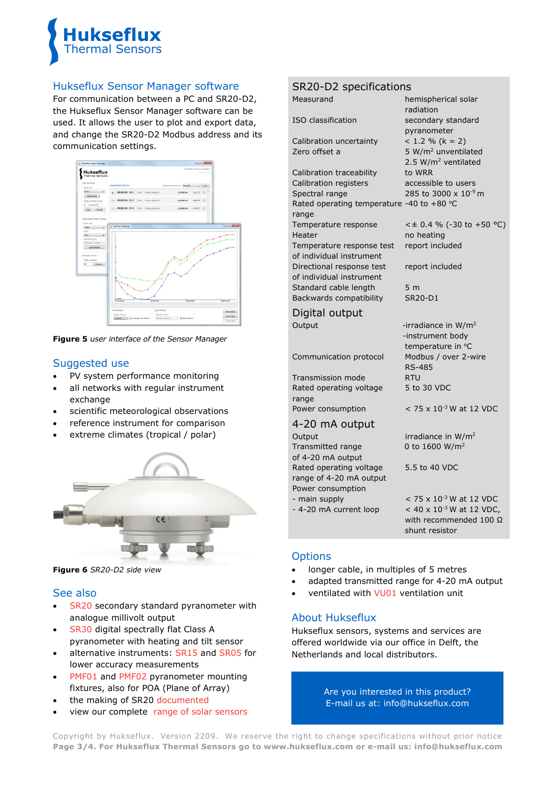

#### Hukseflux Sensor Manager software

For communication between a PC and SR20-D2, the Hukseflux Sensor Manager software can be used. It allows the user to plot and export data, and change the SR20-D2 Modbus address and its communication settings.



**Figure 5** *user interface of the Sensor Manager*

### Suggested use

- PV system performance monitoring
- all networks with regular instrument exchange
- scientific meteorological observations
- reference instrument for comparison
- extreme climates (tropical / polar)



**Figure 6** *SR20-D2 side view*

#### See also

- [SR20](http://www.hukseflux.com/product/sr20-pyranometer) secondary standard pyranometer with analogue millivolt output
- [SR30](https://www.hukseflux.com/products/solar-radiation-sensors/pyranometers/sr30-d1-pyranometer) digital spectrally flat Class A pyranometer with heating and tilt sensor
- alternative instruments: [SR15](file://OFFICE/documents/marketing%20&%20sales/brochures%20manuals%20concept/improvement%20project%20brochures%20manuals%20SWAN/solar/hukseflux.com/products/solar-radiation-sensors/pyranometers/sr15-a1-pyranometer) and [SR05](https://www.hukseflux.com/products/solar-radiation-sensors/pyranometers/sr05-a1-pyranometer) for lower accuracy measurements
- [PMF01](https://www.hukseflux.com/products/solar-radiation-sensors/pyranometers/pmf01-mounting-fixture) and [PMF02](https://www.hukseflux.com/products/solar-radiation-sensors/pyranometers/pmf02-mounting-fixture) pyranometer mounting fixtures, also for POA (Plane of Array)
- the making of SR20 [documented](http://www.hukseflux.com/page/sr20-secondary-standard-pyranometer-setting-new-standards)
- view our complete [range of solar sensors](http://www.hukseflux.com/product_group/solar-sensors)

## SR20-D2 specifications

| Measurand                                                               | hemispherical solar<br>radiation                                   |
|-------------------------------------------------------------------------|--------------------------------------------------------------------|
| ISO classification                                                      | secondary standard<br>pyranometer                                  |
| Calibration uncertainty                                                 | $< 1.2 % (k = 2)$                                                  |
| Zero offset a                                                           | 5 W/m <sup>2</sup> unventilated<br>2.5 W/m <sup>2</sup> ventilated |
| Calibration traceability                                                | to WRR                                                             |
| Calibration registers                                                   | accessible to users                                                |
| Spectral range                                                          | 285 to 3000 x 10 <sup>-9</sup> m                                   |
| Rated operating temperature -40 to +80 °C<br>range                      |                                                                    |
| Temperature response                                                    | $<$ ± 0.4 % (-30 to +50 °C)                                        |
| Heater                                                                  | no heating                                                         |
| Temperature response test<br>of individual instrument                   | report included                                                    |
| Directional response test<br>of individual instrument                   | report included                                                    |
| Standard cable length                                                   | 5 <sub>m</sub>                                                     |
| Backwards compatibility                                                 | <b>SR20-D1</b>                                                     |
| Digital output                                                          |                                                                    |
| Output                                                                  | -irradiance in $W/m^2$                                             |
|                                                                         | -instrument body                                                   |
|                                                                         | temperature in °C                                                  |
| Communication protocol                                                  | Modbus / over 2-wire                                               |
|                                                                         | <b>RS-485</b>                                                      |
| <b>Transmission mode</b>                                                | <b>RTU</b>                                                         |
| Rated operating voltage<br>range                                        | 5 to 30 VDC                                                        |
| Power consumption                                                       | $<$ 75 x 10 <sup>-3</sup> W at 12 VDC                              |
| 4-20 mA output                                                          |                                                                    |
| Output                                                                  | irradiance in W/m <sup>2</sup>                                     |
| Transmitted range<br>of 4-20 mA output                                  | 0 to 1600 W/m <sup>2</sup>                                         |
| Rated operating voltage<br>range of 4-20 mA output<br>Power consumption | 5.5 to 40 VDC                                                      |
| - main supply                                                           | $<$ 75 x 10 <sup>-3</sup> W at 12 VDC                              |
| - 4-20 mA current loop                                                  | $< 40 \times 10^{-3}$ W at 12 VDC,                                 |

## **Options**

- longer cable, in multiples of 5 metres
- adapted transmitted range for 4-20 mA output

with recommended 100 Ω

shunt resistor

ventilated with [VU01](http://www.hukseflux.com/product/vu01) ventilation unit

### About Hukseflux

Hukseflux sensors, systems and services are offered worldwide via our office in Delft, the Netherlands and local distributors.

> Are you interested in this product? E-mail us at: [info@hukseflux.com](mailto:info@hukseflux.com?subject=brochure)

Copyright by Hukseflux. Version 2209. We reserve the right to change specifications without prior notice **Page 3/4. For Hukseflux Thermal Sensors go to [www.hukseflux.com](http://www.hukseflux.com/) or e-mail us: [info@hukseflux.com](mailto:info@hukseflux.com?subject=brochure)**